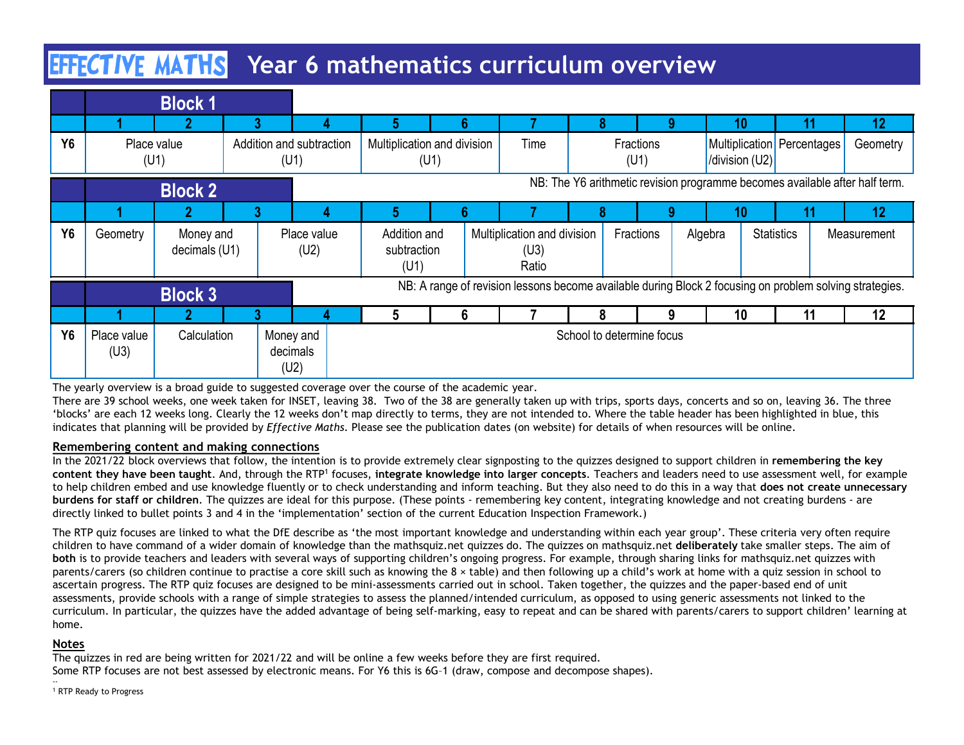# **EFFCTIVE MATHS** Year 6 mathematics curriculum overview

|                       | <b>EFFICTIVE MATHS</b> Year 6 mathematics curriculum overview                                                                                                                                                                                                                                                                                                                                                                                                                                                                                                                                                                                                                                                                                                                                                                                                                                                                                                                                                                                                                                                                                                                                                                   |                            |    |                                  |                                                                             |                                     |      |    |                                                                                                         |  |                           |   |         |                                                    |                   |                             |
|-----------------------|---------------------------------------------------------------------------------------------------------------------------------------------------------------------------------------------------------------------------------------------------------------------------------------------------------------------------------------------------------------------------------------------------------------------------------------------------------------------------------------------------------------------------------------------------------------------------------------------------------------------------------------------------------------------------------------------------------------------------------------------------------------------------------------------------------------------------------------------------------------------------------------------------------------------------------------------------------------------------------------------------------------------------------------------------------------------------------------------------------------------------------------------------------------------------------------------------------------------------------|----------------------------|----|----------------------------------|-----------------------------------------------------------------------------|-------------------------------------|------|----|---------------------------------------------------------------------------------------------------------|--|---------------------------|---|---------|----------------------------------------------------|-------------------|-----------------------------|
|                       |                                                                                                                                                                                                                                                                                                                                                                                                                                                                                                                                                                                                                                                                                                                                                                                                                                                                                                                                                                                                                                                                                                                                                                                                                                 | <b>Block 1</b>             |    |                                  |                                                                             |                                     |      |    |                                                                                                         |  |                           |   |         |                                                    |                   |                             |
| <b>Y6</b>             |                                                                                                                                                                                                                                                                                                                                                                                                                                                                                                                                                                                                                                                                                                                                                                                                                                                                                                                                                                                                                                                                                                                                                                                                                                 | Place value<br>(U1)        | 3  | Addition and subtraction<br>(U1) |                                                                             | 5<br>Multiplication and division    | (U1) | 6. | Time                                                                                                    |  | Fractions<br>(U1)         | Q |         | 10<br>Multiplication Percentages<br>/division (U2) | 11                | 12 <sub>2</sub><br>Geometry |
|                       | <b>Block 2</b>                                                                                                                                                                                                                                                                                                                                                                                                                                                                                                                                                                                                                                                                                                                                                                                                                                                                                                                                                                                                                                                                                                                                                                                                                  |                            |    |                                  | NB: The Y6 arithmetic revision programme becomes available after half term. |                                     |      |    |                                                                                                         |  |                           |   |         |                                                    |                   |                             |
|                       |                                                                                                                                                                                                                                                                                                                                                                                                                                                                                                                                                                                                                                                                                                                                                                                                                                                                                                                                                                                                                                                                                                                                                                                                                                 | ŋ                          | ్ష |                                  |                                                                             | 5.                                  |      |    |                                                                                                         |  |                           |   |         | 10                                                 | 11                | 12                          |
| <b>Y6</b>             | Geometry                                                                                                                                                                                                                                                                                                                                                                                                                                                                                                                                                                                                                                                                                                                                                                                                                                                                                                                                                                                                                                                                                                                                                                                                                        | Money and<br>decimals (U1) |    | Place value<br>(U2)              |                                                                             | Addition and<br>subtraction<br>(U1) |      |    | Multiplication and division<br>(U3)<br>Ratio                                                            |  | Fractions                 |   | Algebra |                                                    | <b>Statistics</b> | Measurement                 |
|                       |                                                                                                                                                                                                                                                                                                                                                                                                                                                                                                                                                                                                                                                                                                                                                                                                                                                                                                                                                                                                                                                                                                                                                                                                                                 | <b>Block 3</b>             |    |                                  |                                                                             |                                     |      |    | NB: A range of revision lessons become available during Block 2 focusing on problem solving strategies. |  |                           |   |         |                                                    |                   |                             |
|                       |                                                                                                                                                                                                                                                                                                                                                                                                                                                                                                                                                                                                                                                                                                                                                                                                                                                                                                                                                                                                                                                                                                                                                                                                                                 |                            |    |                                  |                                                                             | 5                                   |      | 6  |                                                                                                         |  |                           | 9 |         | 10                                                 | 11                | 12                          |
| <b>Y6</b>             | Place value<br>(U3)                                                                                                                                                                                                                                                                                                                                                                                                                                                                                                                                                                                                                                                                                                                                                                                                                                                                                                                                                                                                                                                                                                                                                                                                             | Calculation                |    | Money and<br>decimals<br>(U2)    |                                                                             |                                     |      |    |                                                                                                         |  | School to determine focus |   |         |                                                    |                   |                             |
|                       | The yearly overview is a broad guide to suggested coverage over the course of the academic year.<br>There are 39 school weeks, one week taken for INSET, leaving 38. Two of the 38 are generally taken up with trips, sports days, concerts and so on, leaving 36. The three<br>'blocks' are each 12 weeks long. Clearly the 12 weeks don't map directly to terms, they are not intended to. Where the table header has been highlighted in blue, this<br>indicates that planning will be provided by Effective Maths. Please see the publication dates (on website) for details of when resources will be online.                                                                                                                                                                                                                                                                                                                                                                                                                                                                                                                                                                                                              |                            |    |                                  |                                                                             |                                     |      |    |                                                                                                         |  |                           |   |         |                                                    |                   |                             |
|                       | Remembering content and making connections<br>In the 2021/22 block overviews that follow, the intention is to provide extremely clear signposting to the quizzes designed to support children in remembering the key<br>content they have been taught. And, through the RTP <sup>1</sup> focuses, integrate knowledge into larger concepts. Teachers and leaders need to use assessment well, for example<br>to help children embed and use knowledge fluently or to check understanding and inform teaching. But they also need to do this in a way that does not create unnecessary<br>burdens for staff or children. The quizzes are ideal for this purpose. (These points - remembering key content, integrating knowledge and not creating burdens - are<br>directly linked to bullet points 3 and 4 in the 'implementation' section of the current Education Inspection Framework.)                                                                                                                                                                                                                                                                                                                                       |                            |    |                                  |                                                                             |                                     |      |    |                                                                                                         |  |                           |   |         |                                                    |                   |                             |
| home.<br><b>Notes</b> | The RTP quiz focuses are linked to what the DfE describe as 'the most important knowledge and understanding within each year group'. These criteria very often require<br>children to have command of a wider domain of knowledge than the mathsquiz.net quizzes do. The quizzes on mathsquiz.net deliberately take smaller steps. The aim of<br>both is to provide teachers and leaders with several ways of supporting children's ongoing progress. For example, through sharing links for mathsquiz.net quizzes with<br>parents/carers (so children continue to practise a core skill such as knowing the 8 x table) and then following up a child's work at home with a quiz session in school to<br>ascertain progress. The RTP quiz focuses are designed to be mini-assessments carried out in school. Taken together, the quizzes and the paper-based end of unit<br>assessments, provide schools with a range of simple strategies to assess the planned/intended curriculum, as opposed to using generic assessments not linked to the<br>curriculum. In particular, the quizzes have the added advantage of being self-marking, easy to repeat and can be shared with parents/carers to support children' learning at |                            |    |                                  |                                                                             |                                     |      |    |                                                                                                         |  |                           |   |         |                                                    |                   |                             |

### Remembering content and making connections

The RTP quiz focuses are linked to what the DfE describe as 'the most important knowledge and understanding within each year group'. These criteria very often require children to have command of a wider domain of knowledge than the mathsquiz.net quizzes do. The quizzes on mathsquiz.net deliberately take smaller steps. The aim of both is to provide teachers and leaders with several ways of supporting children's ongoing progress. For example, through sharing links for mathsquiz.net quizzes with ascertain progress. The RTP quiz focuses are designed to be mini-assessments carried out in school. Taken together, the quizzes and the paper-based end of unit **Block 3**<br> **assessment of the control of the control of the control of the control of the control of the control of the control of determine locus<br>
The yearly overview is a broad guide to suggested converge over the courre** curriculum. In particular, the quizzes have the added advantage of being self-marking, easy to repeat and can be shared with parents/carers to support children' learning at home.

### Notes

The quizzes in red are being written for 2021/22 and will be online a few weeks before they are first required. Some RTP focuses are not best assessed by electronic means. For Y6 this is 6G–1 (draw, compose and decompose shapes).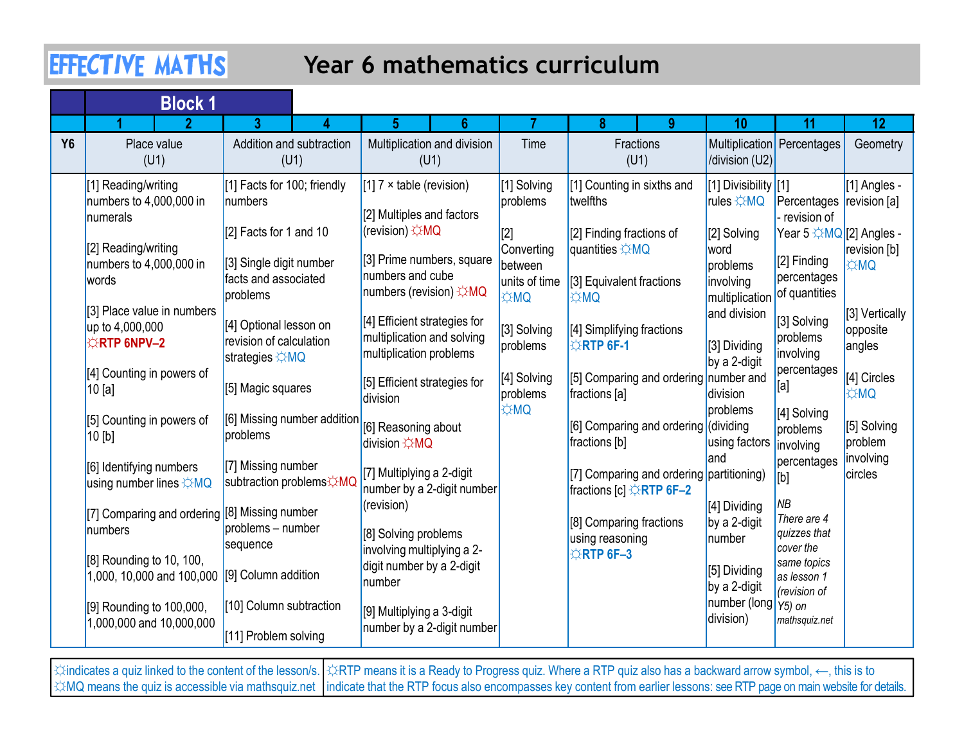## Year 6 mathematics curriculum

|           | <b>EFFECTIVE MATHS</b>                                                     |                                                                                      | Year 6 mathematics curriculum                                                         |                                     |                                                                                 |                                                   |                                                                      |                                      |
|-----------|----------------------------------------------------------------------------|--------------------------------------------------------------------------------------|---------------------------------------------------------------------------------------|-------------------------------------|---------------------------------------------------------------------------------|---------------------------------------------------|----------------------------------------------------------------------|--------------------------------------|
|           | <b>Block 1</b>                                                             |                                                                                      |                                                                                       |                                     |                                                                                 |                                                   |                                                                      |                                      |
|           |                                                                            | 3.                                                                                   | 6<br>5                                                                                |                                     | 8.<br>-9                                                                        | 10                                                | 11                                                                   | 12                                   |
| <b>Y6</b> | Place value<br>(U1)                                                        | Addition and subtraction<br>(U1)                                                     | Multiplication and division<br>(U1)                                                   | Time                                | Fractions<br>(U1)                                                               | /division (U2)                                    | Multiplication Percentages                                           | Geometry                             |
|           | [1] Reading/writing<br>numbers to 4,000,000 in<br>numerals                 | [1] Facts for 100; friendly<br>numbers<br>$[2]$ Facts for 1 and 10                   | [1] $7 \times$ table (revision)<br>[2] Multiples and factors<br>(revision) ☆MQ        | [1] Solving<br>problems<br>[2]      | [1] Counting in sixths and<br>twelfths<br>[2] Finding fractions of              | [1] Divisibility [[1]<br>rules ☆MQ<br>[2] Solving | Percentages   revision [a]<br>revision of<br>Year 5 ☆MQ [2] Angles - | [1] Angles -                         |
|           | [2] Reading/writing<br>numbers to $4,000,000$ in<br>words                  | [3] Single digit number<br>facts and associated<br>problems                          | [3] Prime numbers, square<br>numbers and cube<br>numbers (revision) ☆MQ               | Converting<br>between<br><b>AMQ</b> | quantities $\angle$ MQ<br>units of time [3] Equivalent fractions<br><b>DM</b> ⇔ | word<br>problems<br>involving<br>multiplication   | [2] Finding<br>percentages<br>of quantities                          | revision [b]<br><b>OMC</b>           |
|           | [3] Place value in numbers<br>up to 4,000,000<br><b>XRTP 6NPV-2</b>        | [4] Optional lesson on<br>revision of calculation<br>strategies $\Leftrightarrow$ MQ | [4] Efficient strategies for<br>multiplication and solving<br>multiplication problems | [3] Solving<br>problems             | [4] Simplifying fractions<br><b>ERTP 6F-1</b>                                   | and division<br>[3] Dividing<br>by a 2-digit      | [3] Solving<br>problems<br>involving                                 | [3] Vertically<br>opposite<br>angles |
|           | [4] Counting in powers of<br>10 [a]                                        | [5] Magic squares                                                                    | [5] Efficient strategies for<br>division                                              | [4] Solving<br>problems             | [5] Comparing and ordering number and<br>fractions [a]                          | division                                          | percentages<br>[a]                                                   | [4] Circles<br><b>DM</b> ☆           |
|           | [5] Counting in powers of<br>$10$ [b]                                      | [6] Missing number addition<br>problems                                              | [6] Reasoning about<br>division ☆MQ                                                   | <b>OM</b>                           | [6] Comparing and ordering (dividing<br>fractions [b]                           | problems<br>using factors                         | [4] Solving<br>problems<br>involving                                 | [5] Solving<br>problem               |
|           | [6] Identifying numbers<br>using number lines $\angle MQ$                  | [7] Missing number<br>subtraction problems☆MQ                                        | [7] Multiplying a 2-digit<br>number by a 2-digit number                               |                                     | [7] Comparing and ordering partitioning)<br>fractions [c] ☆RTP 6F-2             | land                                              | percentages<br>[b]                                                   | linvolving<br>circles                |
|           | [7] Comparing and ordering [8] Missing number<br><i>Inumbers</i>           | problems - number<br>sequence                                                        | (revision)<br>[8] Solving problems<br>involving multiplying a 2-                      |                                     | [8] Comparing fractions<br>using reasoning<br><b>☆RTP 6F-3</b>                  | [4] Dividing<br>by a 2-digit<br>number            | ΝB<br>There are 4<br>quizzes that<br>cover the                       |                                      |
|           | [8] Rounding to 10, 100,<br>1,000, 10,000 and 100,000 [[9] Column addition |                                                                                      | digit number by a 2-digit<br>number                                                   |                                     |                                                                                 | [5] Dividing<br>by a 2-digit                      | same topics<br>as lesson 1<br>(revision of                           |                                      |
|           | [9] Rounding to 100,000,<br>1,000,000 and 10,000,000                       | [10] Column subtraction<br>[11] Problem solving                                      | [9] Multiplying a 3-digit<br>number by a 2-digit number                               |                                     |                                                                                 | Inumber (long $\gamma_{5}$ ) on<br>division)      | mathsquiz.net                                                        |                                      |

☆indicates a quiz linked to the content of the lesson/s. │☆RTP means it is a Ready to Progress quiz. Where a RTP quiz also has a backward arrow symbol, ←, this is to ☆MQ means the quiz is accessible via mathsquiz.net |indicate that the RTP focus also encompasses key content from earlier lessons: see RTP page on main website for details.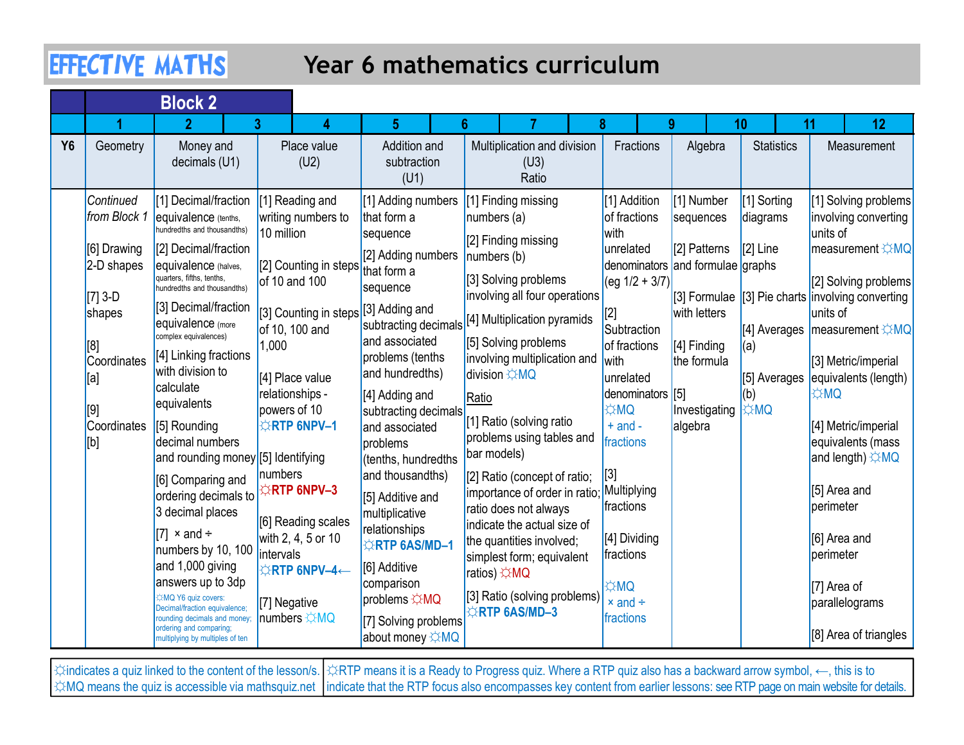## Year 6 mathematics curriculum

|           |                             | <b>EFFECTIVE MATHS</b>                                                                                          |                                                                                              |                                                                               | Year 6 mathematics curriculum                                                                      |                                                |                                                  |                         |                                                                                  |
|-----------|-----------------------------|-----------------------------------------------------------------------------------------------------------------|----------------------------------------------------------------------------------------------|-------------------------------------------------------------------------------|----------------------------------------------------------------------------------------------------|------------------------------------------------|--------------------------------------------------|-------------------------|----------------------------------------------------------------------------------|
|           |                             | <b>Block 2</b>                                                                                                  |                                                                                              |                                                                               |                                                                                                    |                                                |                                                  |                         |                                                                                  |
|           |                             | $\mathbf{D}$                                                                                                    |                                                                                              | 5                                                                             |                                                                                                    |                                                |                                                  | 10                      | 12<br>11                                                                         |
| <b>Y6</b> | Geometry                    | Money and<br>decimals (U1)                                                                                      | Place value<br>(U2)                                                                          | <b>Addition and</b><br>subtraction<br>(U1)                                    | Multiplication and division<br>(U3)<br>Ratio                                                       | Fractions                                      | Algebra                                          | <b>Statistics</b>       | Measurement                                                                      |
|           | Continued<br>from Block 1   | [1] Decimal/fraction<br>equivalence (tenths,<br>hundredths and thousandths)                                     | [1] Reading and<br>writing numbers to<br>10 million                                          | [1] Adding numbers<br>that form a<br>sequence                                 | [1] Finding missing<br>numbers(a)<br>[2] Finding missing                                           | [1] Addition<br>of fractions<br>with           | [1] Number<br>sequences                          | [1] Sorting<br>diagrams | [1] Solving problems<br>involving converting<br>units of                         |
|           | [6] Drawing<br>$2-D$ shapes | [2] Decimal/fraction<br>equivalence (halves,<br>quarters, fifths, tenths,<br>hundredths and thousandths)        | [2] Counting in steps<br>of 10 and 100                                                       | [2] Adding numbers<br>that form a<br>sequence                                 | numbers (b)<br>[3] Solving problems                                                                | unrelated<br>$\log 1/2 + 3/7$                  | [2] Patterns<br>denominators and formulae graphs | $[2]$ Line              | measurement ☆MQ<br>[2] Solving problems                                          |
|           | $[7]$ 3-D<br>shapes<br>[8]  | [3] Decimal/fraction<br>equivalence (more<br>complex equivalences)                                              | [3] Counting in steps]<br>of 10, 100 and<br>1,000                                            | [3] Adding and<br>subtracting decimals<br>and associated                      | involving all four operations<br>[4] Multiplication pyramids<br>[5] Solving problems               | [Z]<br>Subtraction<br>of fractions             | with letters<br>[4] Finding                      | $[4]$ Averages<br>(a)   | [3] Formulae [3] Pie charts involving converting<br>units of<br> measurement ☆MQ |
|           | Coordinates<br>[[a]         | [4] Linking fractions<br>with division to<br>calculate                                                          | [4] Place value<br>relationships -                                                           | problems (tenths<br>and hundredths)<br>[4] Adding and                         | involving multiplication and $\sqrt{\text{with}}$<br><b>division ☆MQ</b><br>Ratio                  | unrelated<br>denominators [5]                  | the formula                                      |                         | [3] Metric/imperial<br>[5] Averages equivalents (length)<br><b>OMC</b>           |
|           | Coordinates<br>[b]          | equivalents<br>[5] Rounding<br>decimal numbers                                                                  | powers of 10<br><b>ARTP 6NPV-1</b>                                                           | subtracting decimals<br>and associated<br>problems                            | [1] Ratio (solving ratio<br>problems using tables and<br>bar models)                               | <b>OMA</b><br>$+$ and $-$<br>fractions         | Investigating<br>algebra                         | <b>☆MQ</b>              | [4] Metric/imperial<br>equivalents (mass                                         |
|           |                             | and rounding money [5] Identifying<br>[6] Comparing and<br>ordering decimals to<br>3 decimal places             | numbers<br><b>RTP 6NPV-3</b>                                                                 | (tenths, hundredths<br>and thousandths)<br>[5] Additive and<br>multiplicative | [2] Ratio (concept of ratio;<br>importance of order in ratio; Multiplying<br>ratio does not always | [[3]<br>fractions                              |                                                  |                         | and length) ☆MQ<br>[5] Area and<br>perimeter                                     |
|           |                             | $\vert [7] \times$ and ÷<br>numbers by 10, 100<br>and 1,000 giving                                              | [6] Reading scales<br>with 2, 4, 5 or 10<br>intervals<br>$\triangle$ RTP 6NPV-4 $\leftarrow$ | relationships<br><b>ERTP 6AS/MD-1</b><br>[6] Additive                         | indicate the actual size of<br>the quantities involved;<br>simplest form; equivalent               | [4] Dividing<br>fractions                      |                                                  |                         | [6] Area and<br>perimeter                                                        |
|           |                             | answers up to 3dp<br><b>XMQ Y6 quiz covers:</b><br>ecimal/fraction equivalence;<br>rounding decimals and money; | [7] Negative<br>numbers $\angle MQ$                                                          | comparison<br>problems $\overleftrightarrow{\sim}$ MQ<br>[7] Solving problems | ratios) ☆MQ<br>[3] Ratio (solving problems)<br><b>ORTP 6AS/MD-3</b>                                | <b>OMC</b><br>$\times$ and $\div$<br>fractions |                                                  |                         | [7] Area of<br>parallelograms                                                    |
|           |                             | ordering and comparing;<br>multiplying by multiples of ten                                                      |                                                                                              | about money ☆MQ                                                               |                                                                                                    |                                                |                                                  |                         | [8] Area of triangles                                                            |